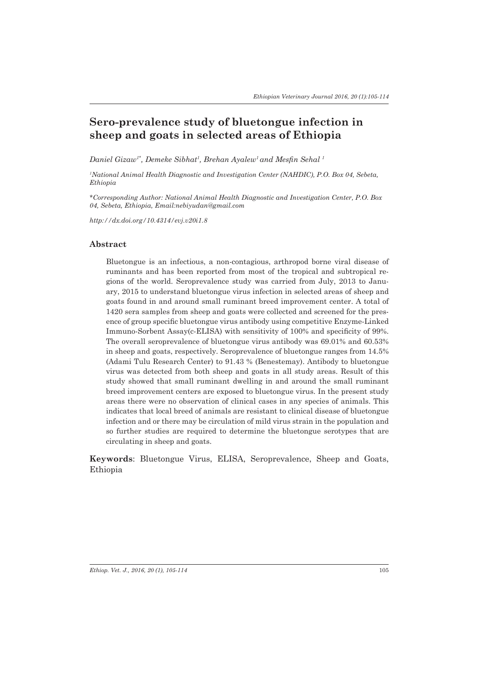# **Sero-prevalence study of bluetongue infection in sheep and goats in selected areas of Ethiopia**

*Daniel Gizaw1\*, Demeke Sibhat1 , Brehan Ayalew1 and Mesfin Sehal <sup>1</sup>*

*1 National Animal Health Diagnostic and Investigation Center (NAHDIC), P.O. Box 04, Sebeta, Ethiopia*

*\*Corresponding Author: National Animal Health Diagnostic and Investigation Center, P.O. Box 04, Sebeta, Ethiopia, Email:nebiyudan@gmail.com*

*http://dx.doi.org/10.4314/evj.v20i1.8*

#### **Abstract**

Bluetongue is an infectious, a non-contagious, arthropod borne viral disease of ruminants and has been reported from most of the tropical and subtropical regions of the world. Seroprevalence study was carried from July, 2013 to January, 2015 to understand bluetongue virus infection in selected areas of sheep and goats found in and around small ruminant breed improvement center. A total of 1420 sera samples from sheep and goats were collected and screened for the presence of group specific bluetongue virus antibody using competitive Enzyme-Linked Immuno-Sorbent Assay(c-ELISA) with sensitivity of 100% and specificity of 99%. The overall seroprevalence of bluetongue virus antibody was 69.01% and 60.53% in sheep and goats, respectively. Seroprevalence of bluetongue ranges from 14.5% (Adami Tulu Research Center) to 91.43 % (Benestemay). Antibody to bluetongue virus was detected from both sheep and goats in all study areas. Result of this study showed that small ruminant dwelling in and around the small ruminant breed improvement centers are exposed to bluetongue virus. In the present study areas there were no observation of clinical cases in any species of animals. This indicates that local breed of animals are resistant to clinical disease of bluetongue infection and or there may be circulation of mild virus strain in the population and so further studies are required to determine the bluetongue serotypes that are circulating in sheep and goats.

**Keywords**: Bluetongue Virus, ELISA, Seroprevalence, Sheep and Goats, Ethiopia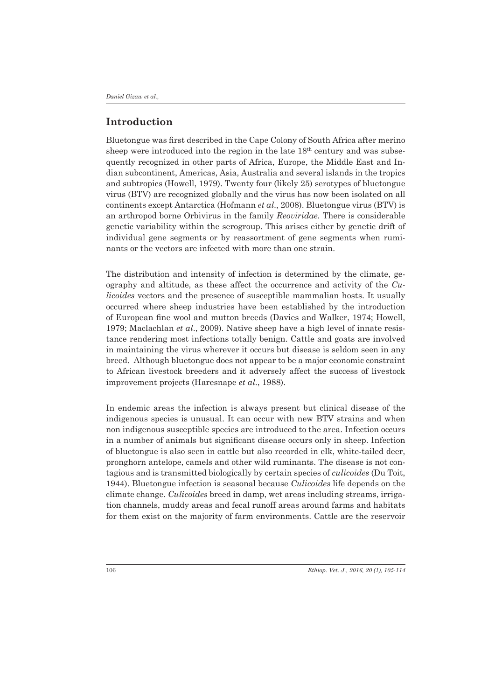## **Introduction**

Bluetongue was first described in the Cape Colony of South Africa after merino sheep were introduced into the region in the late 18th century and was subsequently recognized in other parts of Africa, Europe, the Middle East and Indian subcontinent, Americas, Asia, Australia and several islands in the tropics and subtropics (Howell, 1979). Twenty four (likely 25) serotypes of bluetongue virus (BTV) are recognized globally and the virus has now been isolated on all continents except Antarctica (Hofmann *et al*., 2008). Bluetongue virus (BTV) is an arthropod borne Orbivirus in the family *Reoviridae.* There is considerable genetic variability within the serogroup. This arises either by genetic drift of individual gene segments or by reassortment of gene segments when ruminants or the vectors are infected with more than one strain.

The distribution and intensity of infection is determined by the climate, geography and altitude, as these affect the occurrence and activity of the *Culicoides* vectors and the presence of susceptible mammalian hosts. It usually occurred where sheep industries have been established by the introduction of European fine wool and mutton breeds (Davies and Walker, 1974; Howell, 1979; Maclachlan *et al*., 2009). Native sheep have a high level of innate resistance rendering most infections totally benign. Cattle and goats are involved in maintaining the virus wherever it occurs but disease is seldom seen in any breed. Although bluetongue does not appear to be a major economic constraint to African livestock breeders and it adversely affect the success of livestock improvement projects (Haresnape *et al*., 1988).

In endemic areas the infection is always present but clinical disease of the indigenous species is unusual. It can occur with new BTV strains and when non indigenous susceptible species are introduced to the area. Infection occurs in a number of animals but significant disease occurs only in sheep. Infection of bluetongue is also seen in cattle but also recorded in elk, white-tailed deer, pronghorn antelope, camels and other wild ruminants. The disease is not contagious and is transmitted biologically by certain species of *culicoides* (Du Toit, 1944). Bluetongue infection is seasonal because *Culicoides* life depends on the climate change. *Culicoides* breed in damp, wet areas including streams, irrigation channels, muddy areas and fecal runoff areas around farms and habitats for them exist on the majority of farm environments. Cattle are the reservoir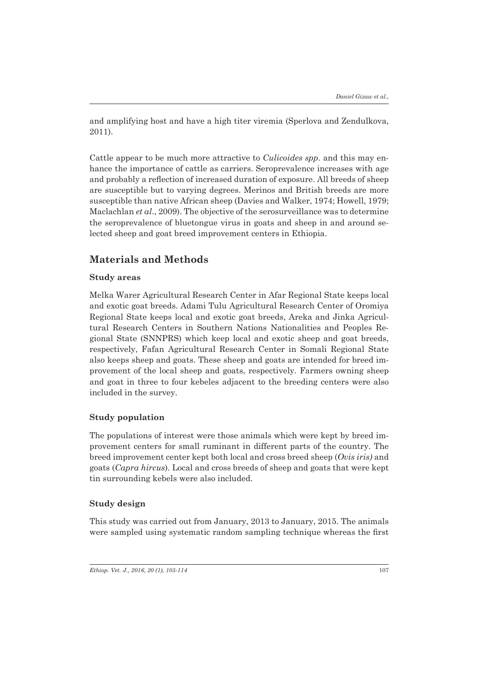and amplifying host and have a high titer viremia (Sperlova and Zendulkova, 2011).

Cattle appear to be much more attractive to *Culicoides spp*. and this may enhance the importance of cattle as carriers. Seroprevalence increases with age and probably a reflection of increased duration of exposure. All breeds of sheep are susceptible but to varying degrees. Merinos and British breeds are more susceptible than native African sheep (Davies and Walker, 1974; Howell, 1979; Maclachlan *et al*., 2009). The objective of the serosurveillance was to determine the seroprevalence of bluetongue virus in goats and sheep in and around selected sheep and goat breed improvement centers in Ethiopia.

### **Materials and Methods**

### **Study areas**

Melka Warer Agricultural Research Center in Afar Regional State keeps local and exotic goat breeds. Adami Tulu Agricultural Research Center of Oromiya Regional State keeps local and exotic goat breeds, Areka and Jinka Agricultural Research Centers in Southern Nations Nationalities and Peoples Regional State (SNNPRS) which keep local and exotic sheep and goat breeds, respectively, Fafan Agricultural Research Center in Somali Regional State also keeps sheep and goats. These sheep and goats are intended for breed improvement of the local sheep and goats, respectively. Farmers owning sheep and goat in three to four kebeles adjacent to the breeding centers were also included in the survey.

#### **Study population**

The populations of interest were those animals which were kept by breed improvement centers for small ruminant in different parts of the country. The breed improvement center kept both local and cross breed sheep (*Ovis iris)* and goats (*Capra hircus*). Local and cross breeds of sheep and goats that were kept tin surrounding kebels were also included.

#### **Study design**

This study was carried out from January, 2013 to January, 2015. The animals were sampled using systematic random sampling technique whereas the first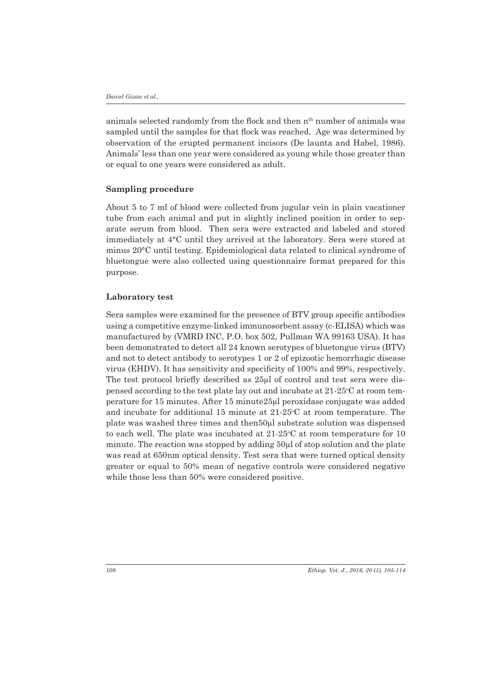animals selected randomly from the flock and then n<sup>th</sup> number of animals was sampled until the samples for that flock was reached. Age was determined by observation of the erupted permanent incisors (De launta and Habel, 1986). Animals' less than one year were considered as young while those greater than or equal to one years were considered as adult.

#### **Sampling procedure**

About 5 to 7 ml of blood were collected from jugular vein in plain vacationer tube from each animal and put in slightly inclined position in order to separate serum from blood. Then sera were extracted and labeled and stored immediately at 4°C until they arrived at the laboratory. Sera were stored at minus 20°C until testing. Epidemiological data related to clinical syndrome of bluetongue were also collected using questionnaire format prepared for this purpose.

#### **Laboratory test**

Sera samples were examined for the presence of BTV group specific antibodies using a competitive enzyme-linked immunosorbent assay (c-ELISA) which was manufactured by (VMRD INC, P.O. box 502, Pullman WA 99163 USA). It has been demonstrated to detect all 24 known serotypes of bluetongue virus (BTV) and not to detect antibody to serotypes 1 or 2 of epizootic hemorrhagic disease virus (EHDV). It has sensitivity and specificity of 100% and 99%, respectively. The test protocol briefly described as 25µl of control and test sera were dispensed according to the test plate lay out and incubate at  $21-25\degree C$  at room temperature for 15 minutes. After 15 minute25µl peroxidase conjugate was added and incubate for additional 15 minute at  $21-25$ °C at room temperature. The plate was washed three times and then50µl substrate solution was dispensed to each well. The plate was incubated at  $21-25$ °C at room temperature for 10 minute. The reaction was stopped by adding 50µl of stop solution and the plate was read at 650nm optical density. Test sera that were turned optical density greater or equal to 50% mean of negative controls were considered negative while those less than 50% were considered positive.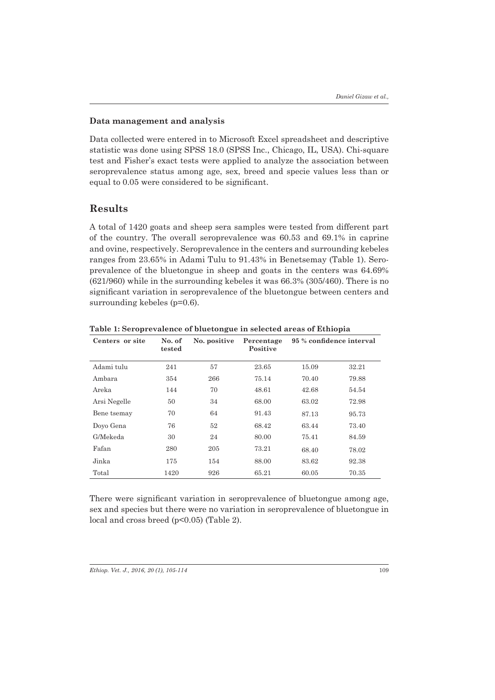#### **Data management and analysis**

Data collected were entered in to Microsoft Excel spreadsheet and descriptive statistic was done using SPSS 18.0 (SPSS Inc., Chicago, IL, USA). Chi-square test and Fisher's exact tests were applied to analyze the association between seroprevalence status among age, sex, breed and specie values less than or equal to 0.05 were considered to be significant.

### **Results**

A total of 1420 goats and sheep sera samples were tested from different part of the country. The overall seroprevalence was 60.53 and 69.1% in caprine and ovine, respectively. Seroprevalence in the centers and surrounding kebeles ranges from 23.65% in Adami Tulu to 91.43% in Benetsemay (Table 1). Seroprevalence of the bluetongue in sheep and goats in the centers was 64.69% (621/960) while in the surrounding kebeles it was 66.3% (305/460). There is no significant variation in seroprevalence of the bluetongue between centers and surrounding kebeles (p=0.6).

| Centers or site | No. of<br>tested | No. positive | Percentage<br>Positive | 95 % confidence interval |       |
|-----------------|------------------|--------------|------------------------|--------------------------|-------|
| Adami tulu      | 241              | 57           | 23.65                  | 15.09                    | 32.21 |
| Ambara          | 354              | 266          | 75.14                  | 70.40                    | 79.88 |
| Areka           | 144              | 70           | 48.61                  | 42.68                    | 54.54 |
| Arsi Negelle    | 50               | 34           | 68.00                  | 63.02                    | 72.98 |
| Bene tsemay     | 70               | 64           | 91.43                  | 87.13                    | 95.73 |
| Dovo Gena       | 76               | 52           | 68.42                  | 63.44                    | 73.40 |
| G/Mekeda        | 30               | 24           | 80.00                  | 75.41                    | 84.59 |
| Fafan           | 280              | 205          | 73.21                  | 68.40                    | 78.02 |
| Jinka           | 175              | 154          | 88.00                  | 83.62                    | 92.38 |
| Total           | 1420             | 926          | 65.21                  | 60.05                    | 70.35 |

**Table 1: Seroprevalence of bluetongue in selected areas of Ethiopia**

There were significant variation in seroprevalence of bluetongue among age, sex and species but there were no variation in seroprevalence of bluetongue in local and cross breed ( $p<0.05$ ) (Table 2).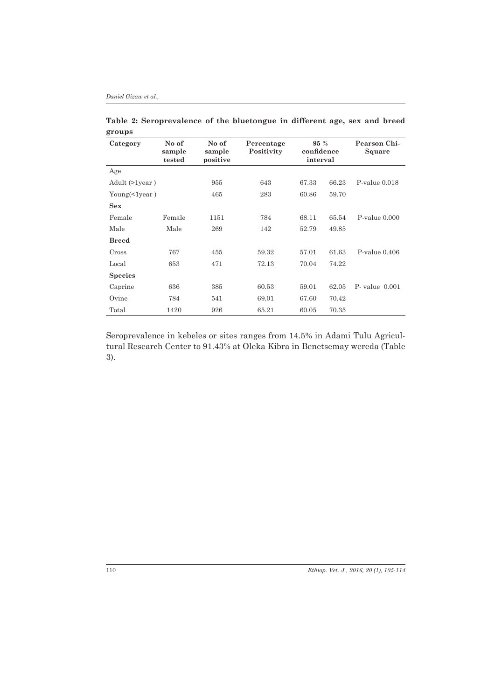| Category              | No of<br>sample<br>tested | No of<br>sample<br>positive | Percentage<br>Positivity | 95%<br>confidence<br>interval |       | Pearson Chi-<br>Square |
|-----------------------|---------------------------|-----------------------------|--------------------------|-------------------------------|-------|------------------------|
| Age                   |                           |                             |                          |                               |       |                        |
| Adult $(\geq 1$ year) |                           | 955                         | 643                      | 67.33                         | 66.23 | $P$ -value $0.018$     |
| Young $($ s $1$ year) |                           | 465                         | 283                      | 60.86                         | 59.70 |                        |
| Sex                   |                           |                             |                          |                               |       |                        |
| Female                | Female                    | 1151                        | 784                      | 68.11                         | 65.54 | $P-value 0.000$        |
| Male                  | Male                      | 269                         | 142                      | 52.79                         | 49.85 |                        |
| <b>Breed</b>          |                           |                             |                          |                               |       |                        |
| Cross                 | 767                       | 455                         | 59.32                    | 57.01                         | 61.63 | $P$ -value $0.406$     |
| Local                 | 653                       | 471                         | 72.13                    | 70.04                         | 74.22 |                        |
| <b>Species</b>        |                           |                             |                          |                               |       |                        |
| Caprine               | 636                       | 385                         | 60.53                    | 59.01                         | 62.05 | $P$ - value $0.001$    |
| Ovine                 | 784                       | 541                         | 69.01                    | 67.60                         | 70.42 |                        |
| Total                 | 1420                      | 926                         | 65.21                    | 60.05                         | 70.35 |                        |

**Table 2: Seroprevalence of the bluetongue in different age, sex and breed groups**

Seroprevalence in kebeles or sites ranges from 14.5% in Adami Tulu Agricultural Research Center to 91.43% at Oleka Kibra in Benetsemay wereda (Table 3).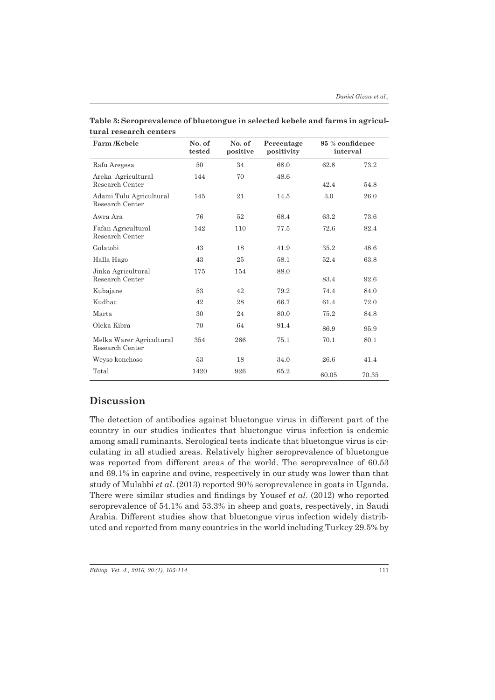| Farm/Kebele                                 | No. of<br>tested | No. of<br>positive | Percentage<br>positivity | 95 % confidence<br>interval |       |
|---------------------------------------------|------------------|--------------------|--------------------------|-----------------------------|-------|
| Rafu Aregesa                                | 50               | 34                 | 68.0                     | 62.8                        | 73.2  |
| Areka Agricultural<br>Research Center       | 144              | 70                 | 48.6                     | 42.4                        | 54.8  |
| Adami Tulu Agricultural<br>Research Center  | 145              | 21                 | 14.5                     | 3.0                         | 26.0  |
| Awra Ara                                    | 76               | 52                 | 68.4                     | 63.2                        | 73.6  |
| Fafan Agricultural<br>Research Center       | 142              | 110                | 77.5                     | 72.6                        | 82.4  |
| Golatobi                                    | 43               | 18                 | 41.9                     | 35.2                        | 48.6  |
| Halla Hago                                  | 43               | 25                 | 58.1                     | 52.4                        | 63.8  |
| Jinka Agricultural<br>Research Center       | 175              | 154                | 88.0                     | 83.4                        | 92.6  |
| Kubajane                                    | 53               | 42                 | 79.2                     | 74.4                        | 84.0  |
| Kudhac                                      | 42               | 28                 | 66.7                     | 61.4                        | 72.0  |
| Marta                                       | 30               | 24                 | 80.0                     | 75.2                        | 84.8  |
| Oleka Kibra                                 | 70               | 64                 | 91.4                     | 86.9                        | 95.9  |
| Melka Warer Agricultural<br>Research Center | 354              | 266                | 75.1                     | 70.1                        | 80.1  |
| Weyso konchoso                              | 53               | 18                 | 34.0                     | 26.6                        | 41.4  |
| Total                                       | 1420             | 926                | 65.2                     | 60.05                       | 70.35 |

**Table 3: Seroprevalence of bluetongue in selected kebele and farms in agricultural research centers**

## **Discussion**

The detection of antibodies against bluetongue virus in different part of the country in our studies indicates that bluetongue virus infection is endemic among small ruminants. Serological tests indicate that bluetongue virus is circulating in all studied areas. Relatively higher seroprevalence of bluetongue was reported from different areas of the world. The seroprevalnce of 60.53 and 69.1% in caprine and ovine, respectively in our study was lower than that study of Mulabbi *et al*. (2013) reported 90% seroprevalence in goats in Uganda. There were similar studies and findings by Yousef *et al*. (2012) who reported seroprevalence of 54.1% and 53.3% in sheep and goats, respectively, in Saudi Arabia. Different studies show that bluetongue virus infection widely distributed and reported from many countries in the world including Turkey 29.5% by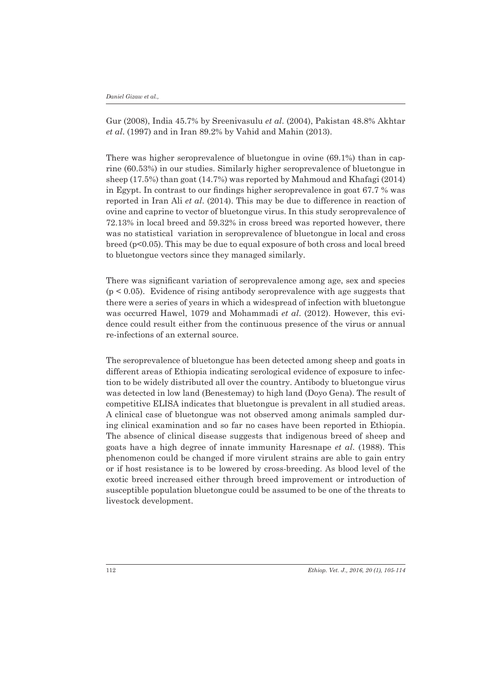Gur (2008), India 45.7% by Sreenivasulu *et al*. (2004), Pakistan 48.8% Akhtar *et al*. (1997) and in Iran 89.2% by Vahid and Mahin (2013).

There was higher seroprevalence of bluetongue in ovine (69.1%) than in caprine (60.53%) in our studies. Similarly higher seroprevalence of bluetongue in sheep (17.5%) than goat (14.7%) was reported by Mahmoud and Khafagi (2014) in Egypt. In contrast to our findings higher seroprevalence in goat 67.7 % was reported in Iran Ali *et al*. (2014). This may be due to difference in reaction of ovine and caprine to vector of bluetongue virus. In this study seroprevalence of 72.13% in local breed and 59.32% in cross breed was reported however, there was no statistical variation in seroprevalence of bluetongue in local and cross breed (p<0.05). This may be due to equal exposure of both cross and local breed to bluetongue vectors since they managed similarly.

There was significant variation of seroprevalence among age, sex and species  $(p \le 0.05)$ . Evidence of rising antibody seroprevalence with age suggests that there were a series of years in which a widespread of infection with bluetongue was occurred Hawel, 1079 and Mohammadi *et al*. (2012). However, this evidence could result either from the continuous presence of the virus or annual re-infections of an external source.

The seroprevalence of bluetongue has been detected among sheep and goats in different areas of Ethiopia indicating serological evidence of exposure to infection to be widely distributed all over the country. Antibody to bluetongue virus was detected in low land (Benestemay) to high land (Doyo Gena). The result of competitive ELISA indicates that bluetongue is prevalent in all studied areas. A clinical case of bluetongue was not observed among animals sampled during clinical examination and so far no cases have been reported in Ethiopia. The absence of clinical disease suggests that indigenous breed of sheep and goats have a high degree of innate immunity Haresnape *et al*. (1988). This phenomenon could be changed if more virulent strains are able to gain entry or if host resistance is to be lowered by cross-breeding. As blood level of the exotic breed increased either through breed improvement or introduction of susceptible population bluetongue could be assumed to be one of the threats to livestock development.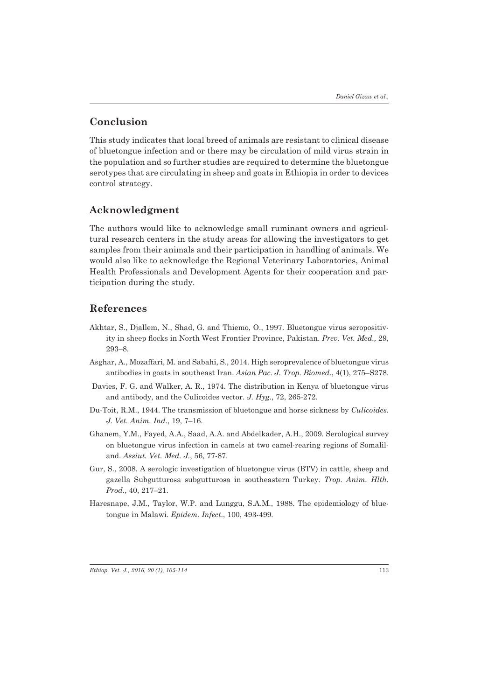### **Conclusion**

This study indicates that local breed of animals are resistant to clinical disease of bluetongue infection and or there may be circulation of mild virus strain in the population and so further studies are required to determine the bluetongue serotypes that are circulating in sheep and goats in Ethiopia in order to devices control strategy.

### **Acknowledgment**

The authors would like to acknowledge small ruminant owners and agricultural research centers in the study areas for allowing the investigators to get samples from their animals and their participation in handling of animals. We would also like to acknowledge the Regional Veterinary Laboratories, Animal Health Professionals and Development Agents for their cooperation and participation during the study.

### **References**

- Akhtar, S., Djallem, N., Shad, G. and Thiemo, O., 1997. Bluetongue virus seropositivity in sheep flocks in North West Frontier Province, Pakistan. *Prev. Vet. Med.,* 29, 293–8.
- Asghar, A., Mozaffari, M. and Sabahi, S., 2014. High seroprevalence of bluetongue virus antibodies in goats in southeast Iran. *Asian Pac. J. Trop. Biomed*., 4(1), 275–S278.
- Davies, F. G. and Walker, A. R., 1974. The distribution in Kenya of bluetongue virus and antibody, and the Culicoides vector. *J. Hyg*., 72, 265-272.
- Du-Toit, R.M., 1944. The transmission of bluetongue and horse sickness by *Culicoides*. *J. Vet. Anim. Ind*., 19, 7–16.
- Ghanem, Y.M., Fayed, A.A., Saad, A.A. and Abdelkader, A.H., 2009. Serological survey on bluetongue virus infection in camels at two camel-rearing regions of Somaliland. *Assiut. Vet. Med. J.*, 56, 77-87.
- Gur, S., 2008. A serologic investigation of bluetongue virus (BTV) in cattle, sheep and gazella Subgutturosa subgutturosa in southeastern Turkey. *Trop. Anim. Hlth. Prod*., 40, 217–21.
- Haresnape, J.M., Taylor, W.P. and Lunggu, S.A.M., 1988. The epidemiology of bluetongue in Malawi. *Epidem. Infect*., 100, 493-499*.*